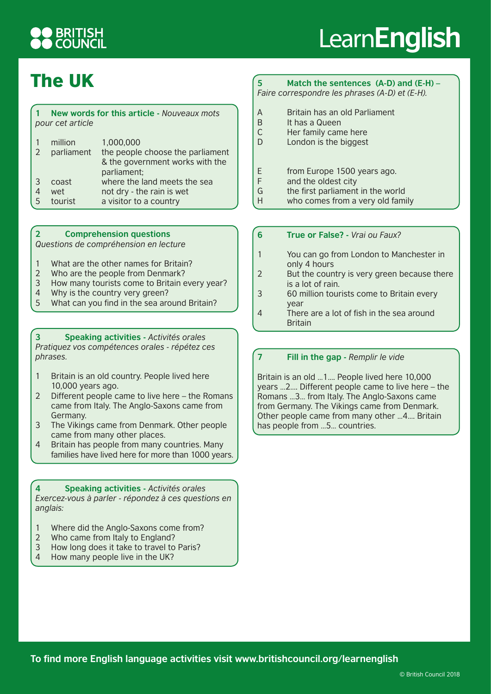## **BRITISH<br>COUNCIL**

# Learn**English**

### The UK

#### **1 New words for this article -** *Nouveaux mots pour cet article*

| $\overline{2}$ | million<br>parliament   | 1,000,000<br>the people choose the parliament<br>& the government works with the                   |
|----------------|-------------------------|----------------------------------------------------------------------------------------------------|
| 3<br>5         | coast<br>wet<br>tourist | parliament;<br>where the land meets the sea<br>not dry - the rain is wet<br>a visitor to a country |

#### **2 Comprehension questions**

*Questions de compréhension en lecture*

- 1 What are the other names for Britain?
- 2 Who are the people from Denmark?
- 3 How many tourists come to Britain every year?
- 4 Why is the country very green?
- 5 What can you find in the sea around Britain?

**3 Speaking activities -** *Activités orales Pratiquez vos compétences orales - répétez ces phrases.*

- 1 Britain is an old country. People lived here 10,000 years ago.
- 2 Different people came to live here the Romans came from Italy. The Anglo-Saxons came from Germany.
- 3 The Vikings came from Denmark. Other people came from many other places.
- 4 Britain has people from many countries. Many families have lived here for more than 1000 years.

**4 Speaking activities -** *Activités orales Exercez-vous à parler - répondez à ces questions en anglais:*

- 1 Where did the Anglo-Saxons come from?
- 2 Who came from Italy to England?
- 3 How long does it take to travel to Paris?
- 4 How many people live in the UK?

### **5 Match the sentences (A-D) and (E-H) –**

*Faire correspondre les phrases (A-D) et (E-H).*

- A Britain has an old Parliament
- B It has a Queen
- C Her family came here
- D London is the biggest
- E from Europe 1500 years ago.
- F and the oldest city
- G the first parliament in the world
- H who comes from a very old family
- **6 True or False?** *Vrai ou Faux?*
- 1 You can go from London to Manchester in only 4 hours
- 2 But the country is very green because there is a lot of rain.
- 3 60 million tourists come to Britain every year
- 4 There are a lot of fish in the sea around **Britain**

### **7 Fill in the gap -** *Remplir le vide*

Britain is an old …1…. People lived here 10,000 years …2…. Different people came to live here – the Romans …3… from Italy. The Anglo-Saxons came from Germany. The Vikings came from Denmark. Other people came from many other …4…. Britain has people from …5… countries.